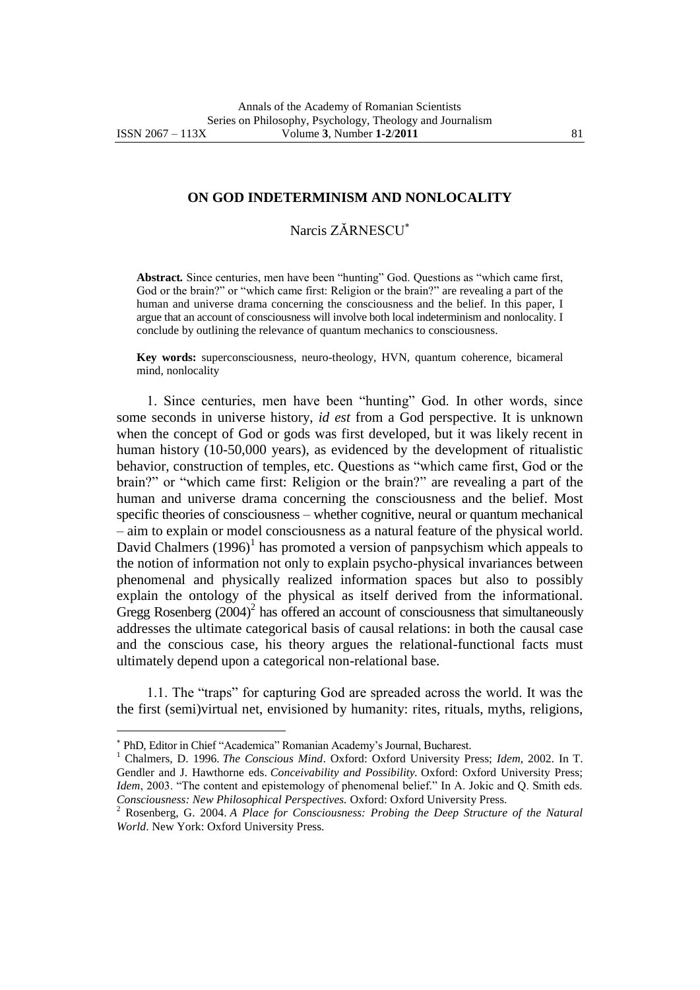$\overline{a}$ 

## **ON GOD INDETERMINISM AND NONLOCALITY**

## Narcis ZĂRNESCU

**Abstract***.* Since centuries, men have been "hunting" God. Questions as "which came first, God or the brain?" or "which came first: Religion or the brain?" are revealing a part of the human and universe drama concerning the consciousness and the belief. In this paper, I argue that an account of consciousness will involve both local indeterminism and nonlocality. I conclude by outlining the relevance of quantum mechanics to consciousness.

**Key words:** superconsciousness, neuro-theology, HVN, quantum coherence, bicameral mind, nonlocality

1. Since centuries, men have been "hunting" God. In other words, since some seconds in universe history, *id est* from a God perspective. It is unknown when the concept of God or gods was first developed, but it was likely recent in human history (10-50,000 years), as evidenced by the development of ritualistic behavior, construction of temples, etc. Questions as "which came first, God or the brain?" or "which came first: Religion or the brain?" are revealing a part of the human and universe drama concerning the consciousness and the belief. Most specific theories of consciousness – whether cognitive, neural or quantum mechanical – aim to explain or model consciousness as a natural feature of the physical world. David Chalmers  $(1996)^1$  has promoted a version of panpsychism which appeals to the notion of information not only to explain psycho-physical invariances between phenomenal and physically realized information spaces but also to possibly explain the ontology of the physical as itself derived from the informational. Gregg Rosenberg  $(2004)^2$  has offered an account of consciousness that simultaneously addresses the ultimate categorical basis of causal relations: in both the causal case and the conscious case, his theory argues the relational-functional facts must ultimately depend upon a categorical non-relational base.

1.1. The "traps" for capturing God are spreaded across the world. It was the the first (semi)virtual net, envisioned by humanity: rites, rituals, myths, religions,

PhD, Editor in Chief "Academica" Romanian Academy"s Journal, Bucharest.

<sup>1</sup> Chalmers, D. 1996. *The Conscious Mind*. Oxford: Oxford University Press; *Idem*, 2002. In T. Gendler and J. Hawthorne eds. *Conceivability and Possibility.* Oxford: Oxford University Press; *Idem*, 2003. "The content and epistemology of phenomenal belief." In A. Jokic and Q. Smith eds. *Consciousness: New Philosophical Perspectives.* Oxford: Oxford University Press.

<sup>2</sup> Rosenberg, G. 2004. *A Place for Consciousness: Probing the Deep Structure of the Natural World*. New York: Oxford University Press.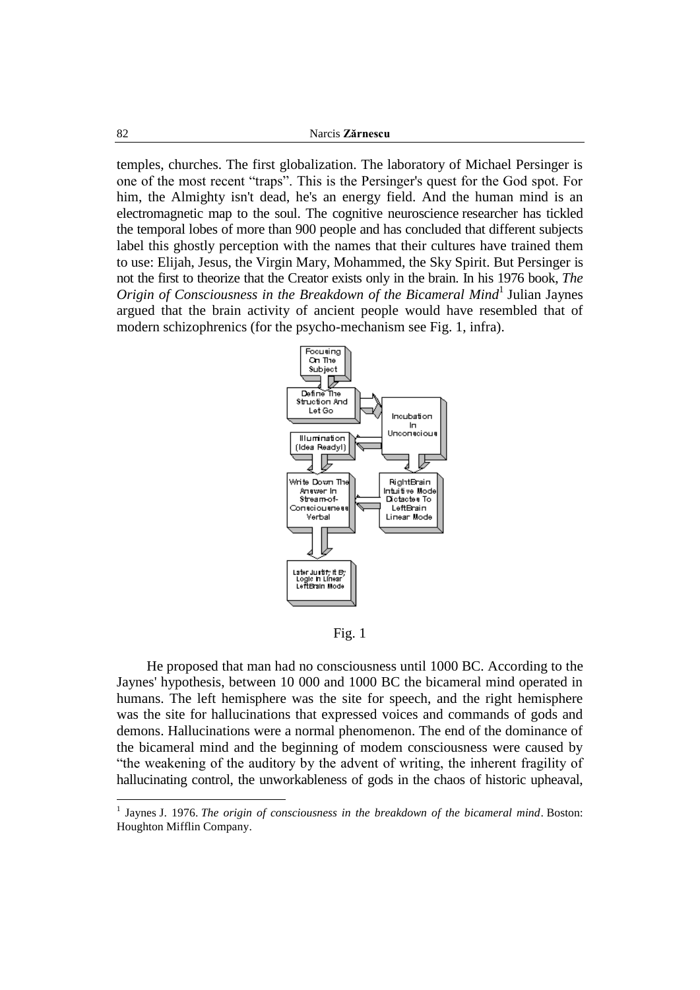temples, churches. The first globalization. The laboratory of Michael Persinger is one of the most recent "traps". This is the Persinger's quest for the God spot. For him, the Almighty isn't dead, he's an energy field. And the human mind is an electromagnetic map to the soul. The cognitive neuroscience researcher has tickled the temporal lobes of more than 900 people and has concluded that different subjects label this ghostly perception with the names that their cultures have trained them to use: Elijah, Jesus, the Virgin Mary, Mohammed, the Sky Spirit. But Persinger is not the first to theorize that the Creator exists only in the brain. In his 1976 book, *The Origin of Consciousness in the Breakdown of the Bicameral Mind*<sup>1</sup> Julian Jaynes argued that the brain activity of ancient people would have resembled that of modern schizophrenics (for the psycho-mechanism see Fig. 1, infra).



Fig. 1

He proposed that man had no consciousness until 1000 BC. According to the Jaynes' hypothesis, between 10 000 and 1000 BC the bicameral mind operated in humans. The left hemisphere was the site for speech, and the right hemisphere was the site for hallucinations that expressed voices and commands of gods and demons. Hallucinations were a normal phenomenon. The end of the dominance of the bicameral mind and the beginning of modem consciousness were caused by "the weakening of the auditory by the advent of writing, the inherent fragility of hallucinating control, the unworkableness of gods in the chaos of historic upheaval,

<sup>1</sup> Jaynes J. 1976. *The origin of consciousness in the breakdown of the bicameral mind*. Boston: Houghton Mifflin Company.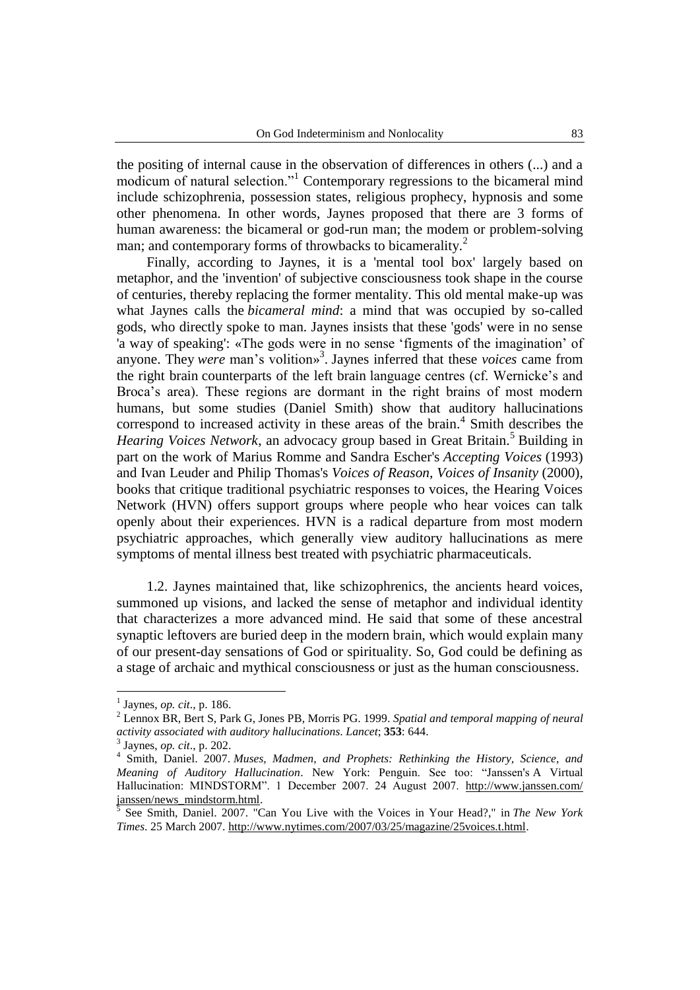the positing of internal cause in the observation of differences in others (...) and a modicum of natural selection."<sup>1</sup> Contemporary regressions to the bicameral mind include schizophrenia, possession states, religious prophecy, hypnosis and some other phenomena. In other words, Jaynes proposed that there are 3 forms of human awareness: the bicameral or god-run man; the modem or problem-solving man; and contemporary forms of throwbacks to bicamerality.<sup>2</sup>

Finally, according to Jaynes, it is a 'mental tool box' largely based on metaphor, and the 'invention' of subjective consciousness took shape in the course of centuries, thereby replacing the former mentality. This old mental make-up was what Jaynes calls the *bicameral mind*: a mind that was occupied by so-called gods, who directly spoke to man. Jaynes insists that these 'gods' were in no sense 'a way of speaking': «The gods were in no sense "figments of the imagination" of anyone. They *were* man's volition»<sup>3</sup>. Jaynes inferred that these *voices* came from the right brain counterparts of the left brain language centres (cf. Wernicke"s and Broca"s area). These regions are dormant in the right brains of most modern humans, but some studies (Daniel Smith) show that auditory hallucinations correspond to increased activity in these areas of the brain. $4$  Smith describes the *Hearing Voices Network*, an advocacy group based in Great Britain.<sup>5</sup> Building in part on the work of Marius Romme and Sandra Escher's *Accepting Voices* (1993) and Ivan Leuder and Philip Thomas's *Voices of Reason, Voices of Insanity* (2000), books that critique traditional psychiatric responses to voices, the Hearing Voices Network (HVN) offers support groups where people who hear voices can talk openly about their experiences. HVN is a radical departure from most modern psychiatric approaches, which generally view auditory hallucinations as mere symptoms of mental illness best treated with psychiatric pharmaceuticals.

1.2. Jaynes maintained that, like schizophrenics, the ancients heard voices, summoned up visions, and lacked the sense of metaphor and individual identity that characterizes a more advanced mind. He said that some of these ancestral synaptic leftovers are buried deep in the modern brain, which would explain many of our present-day sensations of God or spirituality. So, God could be defining as a stage of archaic and mythical consciousness or just as the human consciousness.

<sup>1</sup> Jaynes, *op. cit*., p. 186.

<sup>2</sup> Lennox BR, Bert S, Park G, Jones PB, Morris PG. 1999. *Spatial and temporal mapping of neural activity associated with auditory hallucinations*. *Lancet*; **353**: 644.

<sup>3</sup> Jaynes, *op. cit*., p. 202.

<sup>4</sup> Smith, Daniel. 2007. *Muses, Madmen, and Prophets: Rethinking the History, Science, and Meaning of Auditory Hallucination*. New York: Penguin. See too: "Janssen's A Virtual Hallucination: MINDSTORM". 1 December 2007. 24 August 2007. http://www.janssen.com/ [janssen/news\\_mindstorm.html.](http://www.janssen.com/%20janssen/news_mindstorm.html)<br>
<sup>5</sup> See Smith, Deniel, 2007, "C

See Smith, Daniel. 2007. "Can You Live with the Voices in Your Head?," in *The New York Times*. 25 March 2007. [http://www.nytimes.com/2007/03/25/magazine/25voices.t.html.](http://www.nytimes.com/2007/03/25/magazine/25voices.t.html)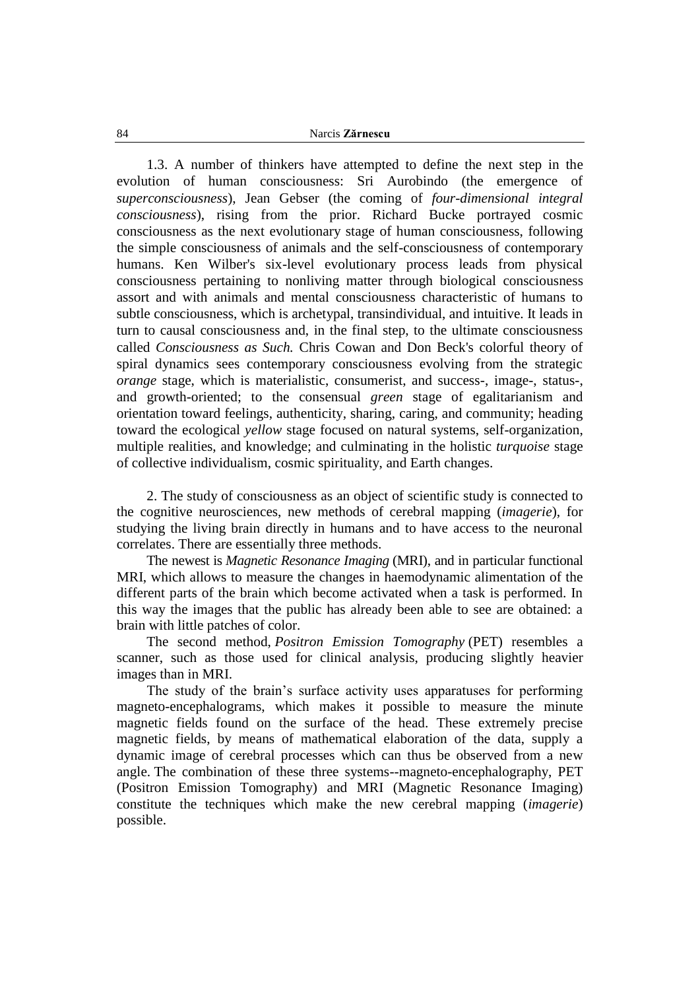1.3. A number of thinkers have attempted to define the next step in the evolution of human consciousness: Sri Aurobindo (the emergence of *superconsciousness*), Jean Gebser (the coming of *four-dimensional integral consciousness*), rising from the prior. Richard Bucke portrayed cosmic consciousness as the next evolutionary stage of human consciousness, following the simple consciousness of animals and the self-consciousness of contemporary humans. Ken Wilber's six-level evolutionary process leads from physical consciousness pertaining to nonliving matter through biological consciousness assort and with animals and mental consciousness characteristic of humans to subtle consciousness, which is archetypal, transindividual, and intuitive. It leads in turn to causal consciousness and, in the final step, to the ultimate consciousness called *Consciousness as Such.* Chris Cowan and Don Beck's colorful theory of spiral dynamics sees contemporary consciousness evolving from the strategic *orange* stage, which is materialistic, consumerist, and success-, image-, status-, and growth-oriented; to the consensual *green* stage of egalitarianism and orientation toward feelings, authenticity, sharing, caring, and community; heading toward the ecological *yellow* stage focused on natural systems, self-organization, multiple realities, and knowledge; and culminating in the holistic *turquoise* stage of collective individualism, cosmic spirituality, and Earth changes.

2. The study of consciousness as an object of scientific study is connected to the cognitive neurosciences, new methods of cerebral mapping (*imagerie*), for studying the living brain directly in humans and to have access to the neuronal correlates. There are essentially three methods.

The newest is *Magnetic Resonance Imaging* (MRI), and in particular functional MRI, which allows to measure the changes in haemodynamic alimentation of the different parts of the brain which become activated when a task is performed. In this way the images that the public has already been able to see are obtained: a brain with little patches of color.

The second method, *Positron Emission Tomography* (PET) resembles a scanner, such as those used for clinical analysis, producing slightly heavier images than in MRI.

The study of the brain"s surface activity uses apparatuses for performing magneto-encephalograms, which makes it possible to measure the minute magnetic fields found on the surface of the head. These extremely precise magnetic fields, by means of mathematical elaboration of the data, supply a dynamic image of cerebral processes which can thus be observed from a new angle. The combination of these three systems--magneto-encephalography, PET (Positron Emission Tomography) and MRI (Magnetic Resonance Imaging) constitute the techniques which make the new cerebral mapping (*imagerie*) possible.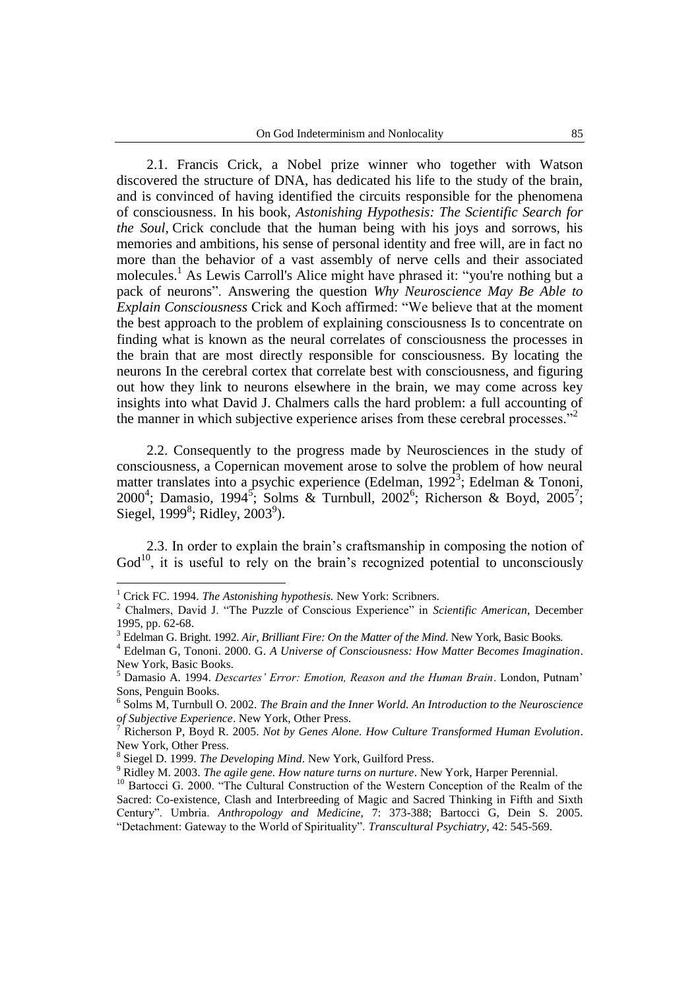2.1. Francis Crick, a Nobel prize winner who together with Watson discovered the structure of DNA, has dedicated his life to the study of the brain, and is convinced of having identified the circuits responsible for the phenomena of consciousness. In his book, *Astonishing Hypothesis: The Scientific Search for the Soul,* Crick conclude that the human being with his joys and sorrows, his memories and ambitions, his sense of personal identity and free will, are in fact no more than the behavior of a vast assembly of nerve cells and their associated molecules.<sup>1</sup> As Lewis Carroll's Alice might have phrased it: "you're nothing but a pack of neurons". Answering the question *Why Neuroscience May Be Able to Explain Consciousness* Crick and Koch affirmed: "We believe that at the moment the best approach to the problem of explaining consciousness Is to concentrate on finding what is known as the neural correlates of consciousness the processes in the brain that are most directly responsible for consciousness. By locating the neurons In the cerebral cortex that correlate best with consciousness, and figuring out how they link to neurons elsewhere in the brain, we may come across key insights into what David J. Chalmers calls the hard problem: a full accounting of the manner in which subjective experience arises from these cerebral processes."<sup>2</sup>

2.2. Consequently to the progress made by Neurosciences in the study of consciousness, a Copernican movement arose to solve the problem of how neural matter translates into a psychic experience (Edelman, 1992<sup>3</sup>; Edelman & Tononi, 2000<sup>4</sup>; Damasio, 1994<sup>5</sup>; Solms & Turnbull, 2002<sup>6</sup>; Richerson & Boyd, 2005<sup>7</sup>; Siegel, 1999 $\mathrm{^8}$ ; Ridley, 2003 $\mathrm{^9}$ ).

2.3. In order to explain the brain"s craftsmanship in composing the notion of  $God<sup>10</sup>$ , it is useful to rely on the brain's recognized potential to unconsciously

<sup>&</sup>lt;sup>1</sup> Crick FC. 1994. *The Astonishing hypothesis*. New York: Scribners.

<sup>2</sup> Chalmers, David J. "The Puzzle of Conscious Experience" in *Scientific American*, December 1995, pp. 62-68.

<sup>3</sup> Edelman G. Bright. 1992. *Air, Brilliant Fire: On the Matter of the Mind*. New York, Basic Books.

<sup>4</sup> Edelman G, Tononi. 2000. G. *A Universe of Consciousness: How Matter Becomes Imagination*. New York, Basic Books.<br><sup>5</sup> Damasio A 1994 Dese

<sup>5</sup> Damasio A. 1994. *Descartes' Error: Emotion, Reason and the Human Brain*. London, Putnam" Sons, Penguin Books.

<sup>6</sup> Solms M, Turnbull O. 2002. *The Brain and the Inner World. An Introduction to the Neuroscience of Subjective Experience*. New York, Other Press.

<sup>7</sup> Richerson P, Boyd R. 2005. *Not by Genes Alone. How Culture Transformed Human Evolution*. New York, Other Press.

<sup>8</sup> Siegel D. 1999. *The Developing Mind*. New York, Guilford Press.

<sup>9</sup> Ridley M. 2003. *The agile gene. How nature turns on nurture*. New York, Harper Perennial.

<sup>&</sup>lt;sup>10</sup> Bartocci G. 2000. "The Cultural Construction of the Western Conception of the Realm of the Sacred: Co-existence, Clash and Interbreeding of Magic and Sacred Thinking in Fifth and Sixth Century". Umbria. *Anthropology and Medicine*, 7: 373-388; Bartocci G, Dein S. 2005. "Detachment: Gateway to the World of Spirituality". *Transcultural Psychiatry*, 42: 545-569.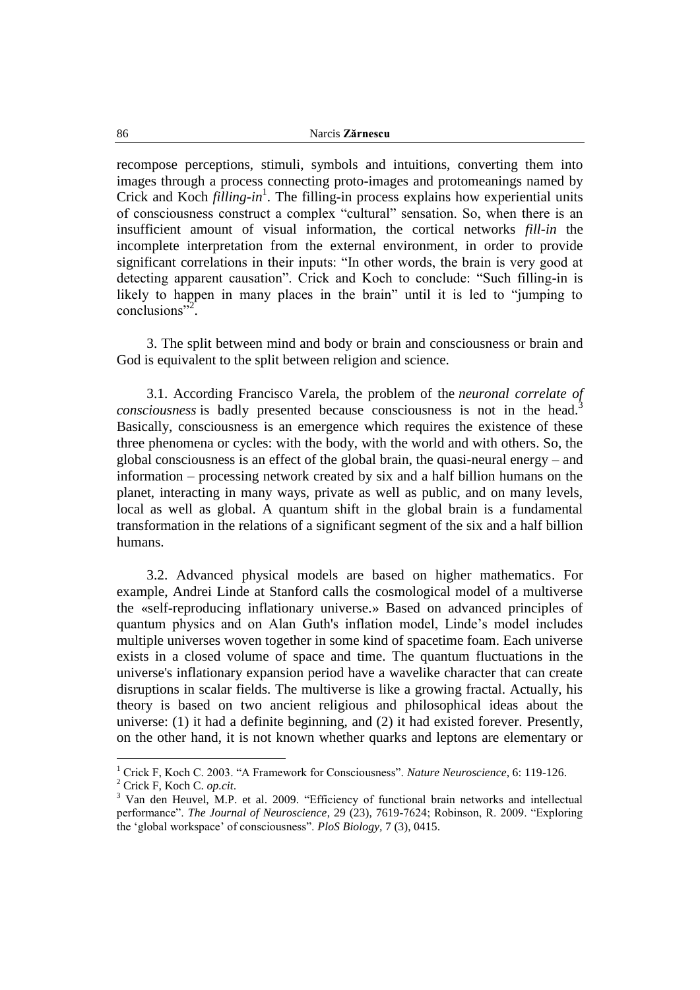recompose perceptions, stimuli, symbols and intuitions, converting them into images through a process connecting proto-images and protomeanings named by Crick and Koch *filling-in*<sup>1</sup>. The filling-in process explains how experiential units of consciousness construct a complex "cultural" sensation. So, when there is an insufficient amount of visual information, the cortical networks *fill-in* the incomplete interpretation from the external environment, in order to provide significant correlations in their inputs: "In other words, the brain is very good at detecting apparent causation". Crick and Koch to conclude: "Such filling-in is likely to happen in many places in the brain" until it is led to "jumping to conclusions"<sup>2</sup>.

3. The split between mind and body or brain and consciousness or brain and God is equivalent to the split between religion and science.

3.1. According Francisco Varela, the problem of the *neuronal correlate of consciousness* is badly presented because consciousness is not in the head.<sup>3</sup> Basically, consciousness is an emergence which requires the existence of these three phenomena or cycles: with the body, with the world and with others. So, the global consciousness is an effect of the global brain, the quasi-neural energy – and information – processing network created by six and a half billion humans on the planet, interacting in many ways, private as well as public, and on many levels, local as well as global. A quantum shift in the global brain is a fundamental transformation in the relations of a significant segment of the six and a half billion humans.

3.2. Advanced physical models are based on higher mathematics. For example, Andrei Linde at Stanford calls the cosmological model of a multiverse the «self-reproducing inflationary universe.» Based on advanced principles of quantum physics and on Alan Guth's inflation model, Linde"s model includes multiple universes woven together in some kind of spacetime foam. Each universe exists in a closed volume of space and time. The quantum fluctuations in the universe's inflationary expansion period have a wavelike character that can create disruptions in scalar fields. The multiverse is like a growing fractal. Actually, his theory is based on two ancient religious and philosophical ideas about the universe: (1) it had a definite beginning, and (2) it had existed forever. Presently, on the other hand, it is not known whether quarks and leptons are elementary or

<sup>1</sup> Crick F, Koch C. 2003. "A Framework for Consciousness". *Nature Neuroscience*, 6: 119-126. <sup>2</sup> Crick F, Koch C. *op.cit*.

<sup>&</sup>lt;sup>3</sup> Van den Heuvel, M.P. et al. 2009. "Efficiency of functional brain networks and intellectual performance". *The Journal of Neuroscience*, 29 (23), 7619-7624; Robinson, R. 2009. "Exploring the "global workspace" of consciousness". *PloS Biology,* 7 (3), 0415.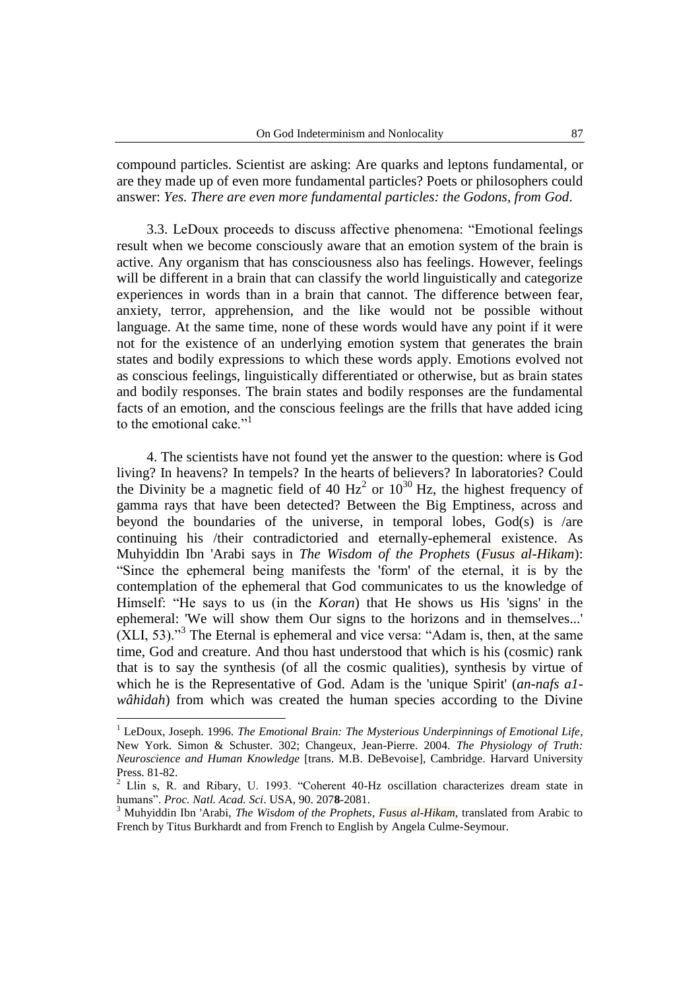compound particles. Scientist are asking: Are quarks and leptons fundamental, or are they made up of even more fundamental particles? Poets or philosophers could answer: *Yes. There are even more fundamental particles: the Godons, from God*.

3.3. LeDoux proceeds to discuss affective phenomena: "Emotional feelings result when we become consciously aware that an emotion system of the brain is active. Any organism that has consciousness also has feelings. However, feelings will be different in a brain that can classify the world linguistically and categorize experiences in words than in a brain that cannot. The difference between fear, anxiety, terror, apprehension, and the like would not be possible without language. At the same time, none of these words would have any point if it were not for the existence of an underlying emotion system that generates the brain states and bodily expressions to which these words apply. Emotions evolved not as conscious feelings, linguistically differentiated or otherwise, but as brain states and bodily responses. The brain states and bodily responses are the fundamental facts of an emotion, and the conscious feelings are the frills that have added icing to the emotional cake."<sup>1</sup>

4. The scientists have not found yet the answer to the question: where is God living? In heavens? In tempels? In the hearts of believers? In laboratories? Could the Divinity be a magnetic field of 40  $Hz^2$  or  $10^{30}$  Hz, the highest frequency of gamma rays that have been detected? Between the Big Emptiness, across and beyond the boundaries of the universe, in temporal lobes, God(s) is /are continuing his /their contradictoried and eternally-ephemeral existence. As Muhyiddin Ibn 'Arabi says in *The Wisdom of the Prophets* (*Fusus al-Hikam*): "Since the ephemeral being manifests the 'form' of the eternal, it is by the contemplation of the ephemeral that God communicates to us the knowledge of Himself: "He says to us (in the *Koran*) that He shows us His 'signs' in the ephemeral: 'We will show them Our signs to the horizons and in themselves...'  $(XLI, 53)$ ."<sup>3</sup> The Eternal is ephemeral and vice versa: "Adam is, then, at the same time, God and creature. And thou hast understood that which is his (cosmic) rank that is to say the synthesis (of all the cosmic qualities), synthesis by virtue of which he is the Representative of God. Adam is the 'unique Spirit' (*an-nafs a1 wâhidah*) from which was created the human species according to the Divine

<sup>1</sup> LeDoux, Joseph. 1996. *The Emotional Brain: The Mysterious Underpinnings of Emotional Life*, New York. Simon & Schuster. 302; Changeux, Jean-Pierre. 2004. *The Physiology of Truth: Neuroscience and Human Knowledge* [trans. M.B. DeBevoise], Cambridge. Harvard University Press. 81-82.

<sup>2</sup> Llin s, R. and Ribary, U. 1993. "Coherent 40-Hz oscillation characterizes dream state in humans". *Proc. Natl. Acad. Sci*. USA, 90. 207**8**-2081.

<sup>3</sup> Muhyiddin Ibn 'Arabi, *The Wisdom of the Prophets*, *Fusus al-Hikam*, translated from Arabic to French by Titus Burkhardt and from French to English by Angela Culme-Seymour.